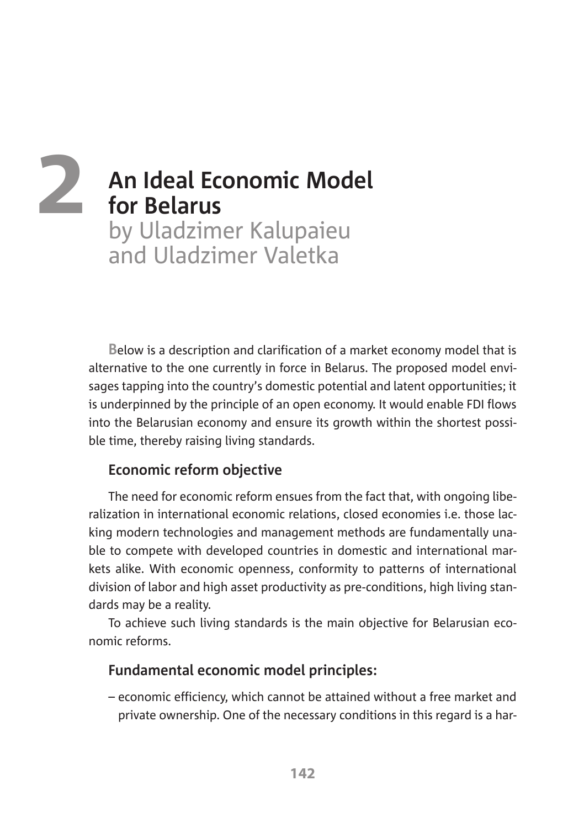# **An Ideal Economic Model for Belarus** by Uladzimer Kalupaieu and Uladzimer Valetka **2**

**B**elow is a description and clarification of a market economy model that is alternative to the one currently in force in Belarus. The proposed model envisages tapping into the country's domestic potential and latent opportunities; it is underpinned by the principle of an open economy. It would enable FDI flows into the Belarusian economy and ensure its growth within the shortest possible time, thereby raising living standards.

## **Economic reform objective**

The need for economic reform ensues from the fact that, with ongoing liberalization in international economic relations, closed economies i.e. those lacking modern technologies and management methods are fundamentally unable to compete with developed countries in domestic and international markets alike. With economic openness, conformity to patterns of international division of labor and high asset productivity as pre-conditions, high living standards may be a reality.

To achieve such living standards is the main objective for Belarusian economic reforms.

## **Fundamental economic model principles:**

– economic efficiency, which cannot be attained without a free market and private ownership. One of the necessary conditions in this regard is a har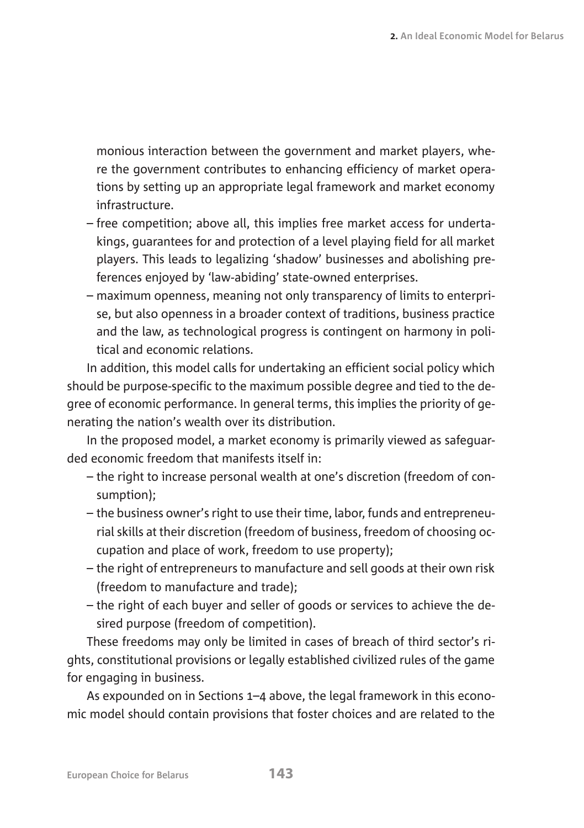monious interaction between the government and market players, where the government contributes to enhancing efficiency of market operations by setting up an appropriate legal framework and market economy infrastructure.

- free competition; above all, this implies free market access for undertakings, guarantees for and protection of a level playing field for all market players. This leads to legalizing 'shadow' businesses and abolishing preferences enjoyed by 'law-abiding' state-owned enterprises.
- maximum openness, meaning not only transparency of limits to enterprise, but also openness in a broader context of traditions, business practice and the law, as technological progress is contingent on harmony in political and economic relations.

In addition, this model calls for undertaking an efficient social policy which should be purpose-specific to the maximum possible degree and tied to the degree of economic performance. In general terms, this implies the priority of generating the nation's wealth over its distribution.

In the proposed model, a market economy is primarily viewed as safeguarded economic freedom that manifests itself in:

- the right to increase personal wealth at one's discretion (freedom of consumption);
- the business owner's right to use their time, labor, funds and entrepreneurial skills at their discretion (freedom of business, freedom of choosing occupation and place of work, freedom to use property);
- the right of entrepreneurs to manufacture and sell goods at their own risk (freedom to manufacture and trade);
- the right of each buyer and seller of goods or services to achieve the desired purpose (freedom of competition).

These freedoms may only be limited in cases of breach of third sector's rights, constitutional provisions or legally established civilized rules of the game for engaging in business.

As expounded on in Sections 1–4 above, the legal framework in this economic model should contain provisions that foster choices and are related to the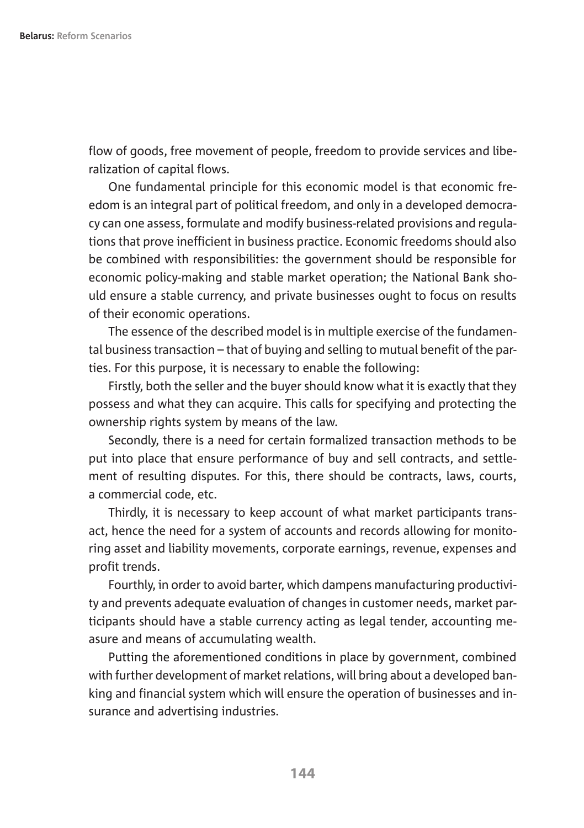flow of goods, free movement of people, freedom to provide services and liberalization of capital flows.

One fundamental principle for this economic model is that economic freedom is an integral part of political freedom, and only in a developed democracy can one assess, formulate and modify business-related provisions and regulations that prove inefficient in business practice. Economic freedoms should also be combined with responsibilities: the government should be responsible for economic policy-making and stable market operation; the National Bank should ensure a stable currency, and private businesses ought to focus on results of their economic operations.

The essence of the described model is in multiple exercise of the fundamental business transaction – that of buying and selling to mutual benefit of the parties. For this purpose, it is necessary to enable the following:

Firstly, both the seller and the buyer should know what it is exactly that they possess and what they can acquire. This calls for specifying and protecting the ownership rights system by means of the law.

Secondly, there is a need for certain formalized transaction methods to be put into place that ensure performance of buy and sell contracts, and settlement of resulting disputes. For this, there should be contracts, laws, courts, a commercial code, etc.

Thirdly, it is necessary to keep account of what market participants transact, hence the need for a system of accounts and records allowing for monitoring asset and liability movements, corporate earnings, revenue, expenses and profit trends.

Fourthly, in order to avoid barter, which dampens manufacturing productivity and prevents adequate evaluation of changes in customer needs, market participants should have a stable currency acting as legal tender, accounting measure and means of accumulating wealth.

Putting the aforementioned conditions in place by government, combined with further development of market relations, will bring about a developed banking and financial system which will ensure the operation of businesses and insurance and advertising industries.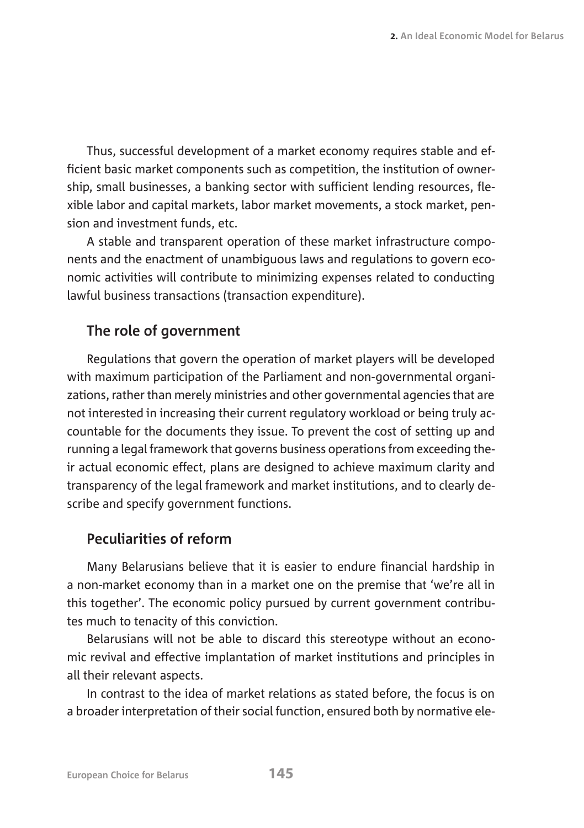Thus, successful development of a market economy requires stable and efficient basic market components such as competition, the institution of ownership, small businesses, a banking sector with sufficient lending resources, flexible labor and capital markets, labor market movements, a stock market, pension and investment funds, etc.

A stable and transparent operation of these market infrastructure components and the enactment of unambiguous laws and regulations to govern economic activities will contribute to minimizing expenses related to conducting lawful business transactions (transaction expenditure).

## **The role of government**

Regulations that govern the operation of market players will be developed with maximum participation of the Parliament and non-governmental organizations, rather than merely ministries and other governmental agencies that are not interested in increasing their current regulatory workload or being truly accountable for the documents they issue. To prevent the cost of setting up and running a legal framework that governs business operations from exceeding their actual economic effect, plans are designed to achieve maximum clarity and transparency of the legal framework and market institutions, and to clearly describe and specify government functions.

## **Peculiarities of reform**

Many Belarusians believe that it is easier to endure financial hardship in a non-market economy than in a market one on the premise that 'we're all in this together'. The economic policy pursued by current government contributes much to tenacity of this conviction.

Belarusians will not be able to discard this stereotype without an economic revival and effective implantation of market institutions and principles in all their relevant aspects.

In contrast to the idea of market relations as stated before, the focus is on a broader interpretation of their social function, ensured both by normative ele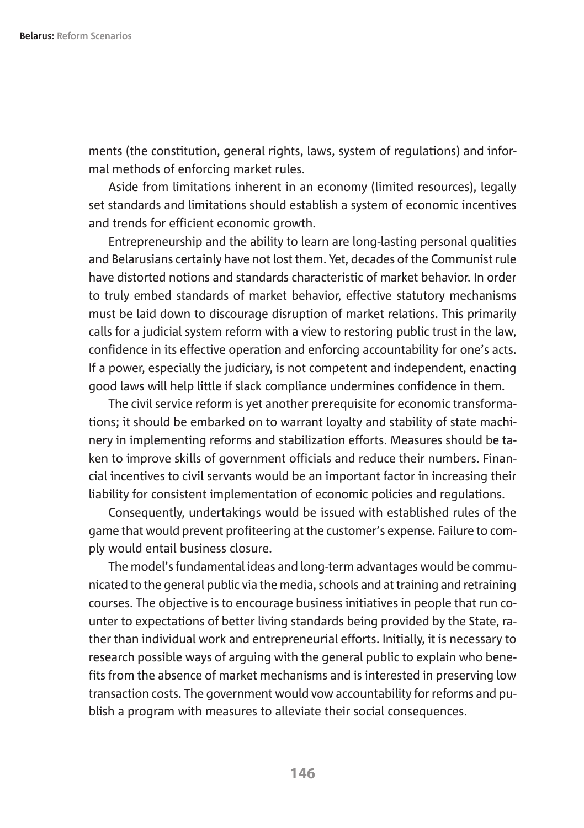ments (the constitution, general rights, laws, system of regulations) and informal methods of enforcing market rules.

Aside from limitations inherent in an economy (limited resources), legally set standards and limitations should establish a system of economic incentives and trends for efficient economic growth.

Entrepreneurship and the ability to learn are long-lasting personal qualities and Belarusians certainly have not lost them. Yet, decades of the Communist rule have distorted notions and standards characteristic of market behavior. In order to truly embed standards of market behavior, effective statutory mechanisms must be laid down to discourage disruption of market relations. This primarily calls for a judicial system reform with a view to restoring public trust in the law, confidence in its effective operation and enforcing accountability for one's acts. If a power, especially the judiciary, is not competent and independent, enacting good laws will help little if slack compliance undermines confidence in them.

The civil service reform is yet another prerequisite for economic transformations; it should be embarked on to warrant loyalty and stability of state machinery in implementing reforms and stabilization efforts. Measures should be taken to improve skills of government officials and reduce their numbers. Financial incentives to civil servants would be an important factor in increasing their liability for consistent implementation of economic policies and regulations.

Consequently, undertakings would be issued with established rules of the game that would prevent profiteering at the customer's expense. Failure to comply would entail business closure.

The model's fundamental ideas and long-term advantages would be communicated to the general public via the media, schools and at training and retraining courses. The objective is to encourage business initiatives in people that run counter to expectations of better living standards being provided by the State, rather than individual work and entrepreneurial efforts. Initially, it is necessary to research possible ways of arguing with the general public to explain who benefits from the absence of market mechanisms and is interested in preserving low transaction costs. The government would vow accountability for reforms and publish a program with measures to alleviate their social consequences.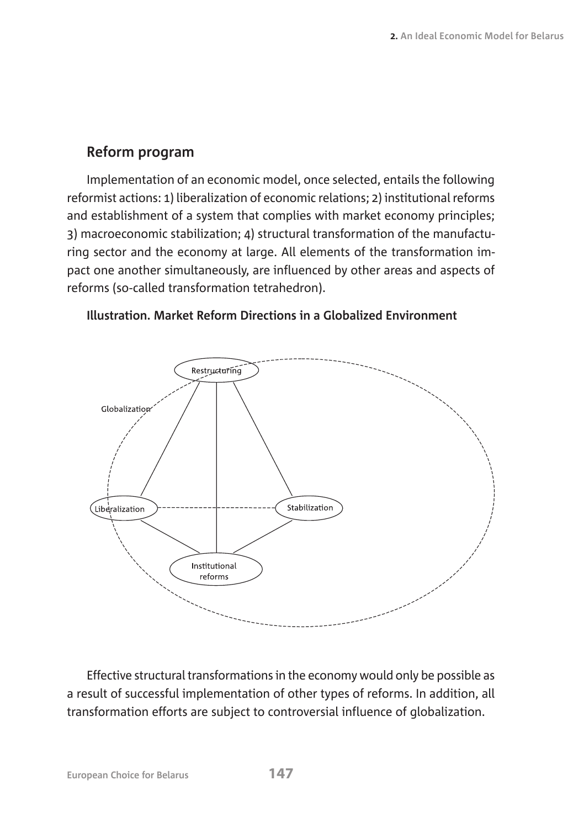## **Reform program**

Implementation of an economic model, once selected, entails the following reformist actions: 1) liberalization of economic relations; 2) institutional reforms and establishment of a system that complies with market economy principles; 3) macroeconomic stabilization; 4) structural transformation of the manufacturing sector and the economy at large. All elements of the transformation impact one another simultaneously, are influenced by other areas and aspects of reforms (so-called transformation tetrahedron).



**Illustration. Market Reform Directions in a Globalized Environment**

Effective structural transformations in the economy would only be possible as a result of successful implementation of other types of reforms. In addition, all transformation efforts are subject to controversial influence of globalization.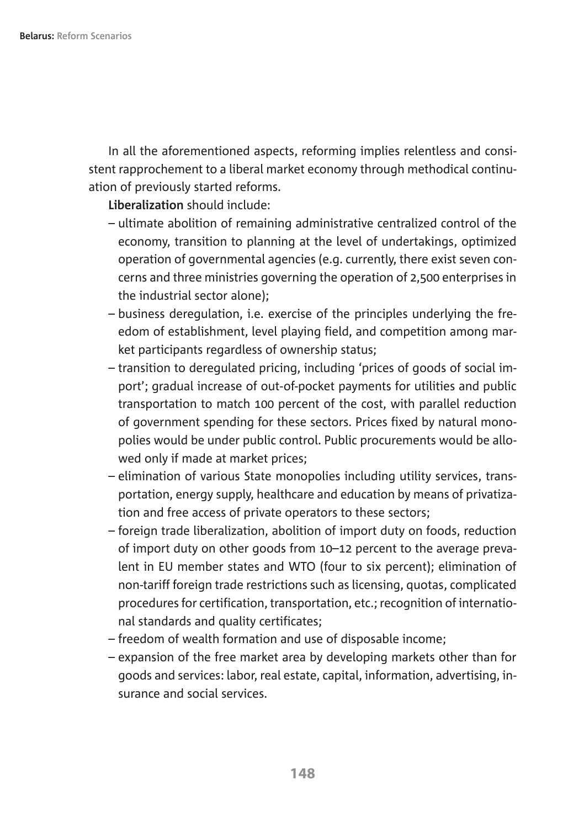In all the aforementioned aspects, reforming implies relentless and consistent rapprochement to a liberal market economy through methodical continuation of previously started reforms.

**Liberalization** should include:

- ultimate abolition of remaining administrative centralized control of the economy, transition to planning at the level of undertakings, optimized operation of governmental agencies (e.g. currently, there exist seven concerns and three ministries governing the operation of 2,500 enterprises in the industrial sector alone);
- business deregulation, i.e. exercise of the principles underlying the freedom of establishment, level playing field, and competition among market participants regardless of ownership status;
- transition to deregulated pricing, including 'prices of goods of social import'; gradual increase of out-of-pocket payments for utilities and public transportation to match 100 percent of the cost, with parallel reduction of government spending for these sectors. Prices fixed by natural monopolies would be under public control. Public procurements would be allowed only if made at market prices;
- elimination of various State monopolies including utility services, transportation, energy supply, healthcare and education by means of privatization and free access of private operators to these sectors;
- foreign trade liberalization, abolition of import duty on foods, reduction of import duty on other goods from 10–12 percent to the average prevalent in EU member states and WTO (four to six percent); elimination of non-tariff foreign trade restrictions such as licensing, quotas, complicated procedures for certification, transportation, etc.; recognition of international standards and quality certificates;
- freedom of wealth formation and use of disposable income;
- expansion of the free market area by developing markets other than for goods and services: labor, real estate, capital, information, advertising, insurance and social services.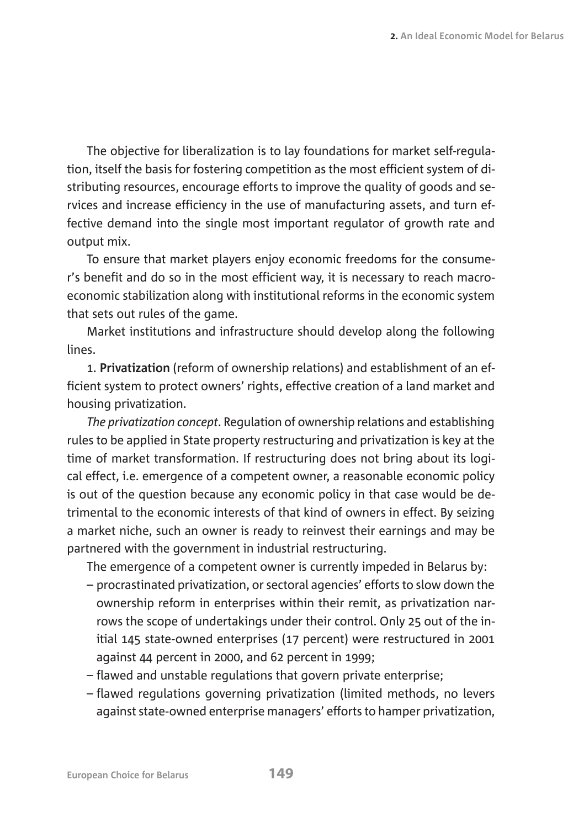The objective for liberalization is to lay foundations for market self-regulation, itself the basis for fostering competition as the most efficient system of distributing resources, encourage efforts to improve the quality of goods and services and increase efficiency in the use of manufacturing assets, and turn effective demand into the single most important regulator of growth rate and output mix.

To ensure that market players enjoy economic freedoms for the consumer's benefit and do so in the most efficient way, it is necessary to reach macroeconomic stabilization along with institutional reforms in the economic system that sets out rules of the game.

Market institutions and infrastructure should develop along the following lines.

1. **Privatization** (reform of ownership relations) and establishment of an efficient system to protect owners' rights, effective creation of a land market and housing privatization.

*The privatization concept*. Regulation of ownership relations and establishing rules to be applied in State property restructuring and privatization is key at the time of market transformation. If restructuring does not bring about its logical effect, i.e. emergence of a competent owner, a reasonable economic policy is out of the question because any economic policy in that case would be detrimental to the economic interests of that kind of owners in effect. By seizing a market niche, such an owner is ready to reinvest their earnings and may be partnered with the government in industrial restructuring.

The emergence of a competent owner is currently impeded in Belarus by:

- procrastinated privatization, or sectoral agencies' efforts to slow down the ownership reform in enterprises within their remit, as privatization narrows the scope of undertakings under their control. Only 25 out of the initial 145 state-owned enterprises (17 percent) were restructured in 2001 against 44 percent in 2000, and 62 percent in 1999;
- flawed and unstable regulations that govern private enterprise;
- flawed regulations governing privatization (limited methods, no levers against state-owned enterprise managers' efforts to hamper privatization,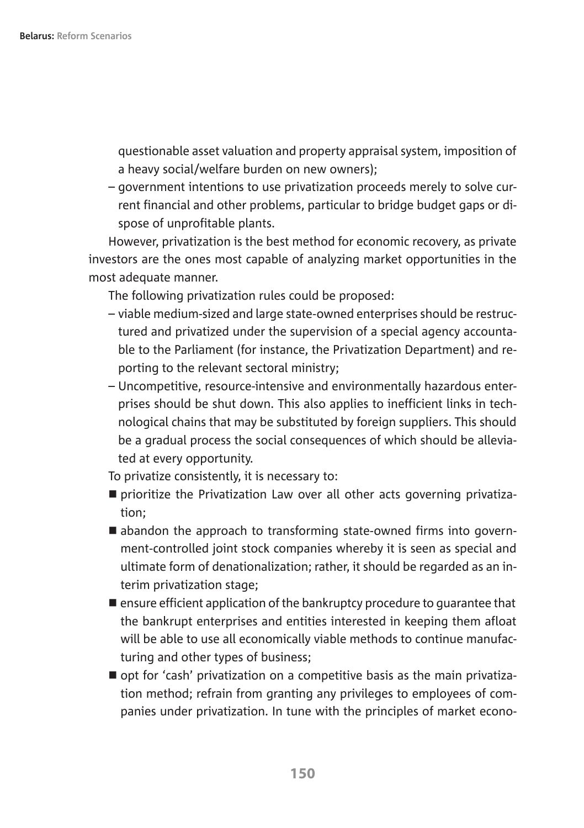questionable asset valuation and property appraisal system, imposition of a heavy social/welfare burden on new owners);

– government intentions to use privatization proceeds merely to solve current financial and other problems, particular to bridge budget gaps or dispose of unprofitable plants.

However, privatization is the best method for economic recovery, as private investors are the ones most capable of analyzing market opportunities in the most adequate manner.

The following privatization rules could be proposed:

- viable medium-sized and large state-owned enterprises should be restructured and privatized under the supervision of a special agency accountable to the Parliament (for instance, the Privatization Department) and reporting to the relevant sectoral ministry;
- Uncompetitive, resource-intensive and environmentally hazardous enterprises should be shut down. This also applies to inefficient links in technological chains that may be substituted by foreign suppliers. This should be a gradual process the social consequences of which should be alleviated at every opportunity.

To privatize consistently, it is necessary to:

- $\blacksquare$  prioritize the Privatization Law over all other acts governing privatization;
- $\blacksquare$  abandon the approach to transforming state-owned firms into government-controlled joint stock companies whereby it is seen as special and ultimate form of denationalization; rather, it should be regarded as an interim privatization stage;
- $\blacksquare$  ensure efficient application of the bankruptcy procedure to quarantee that the bankrupt enterprises and entities interested in keeping them afloat will be able to use all economically viable methods to continue manufacturing and other types of business;
- opt for 'cash' privatization on a competitive basis as the main privatization method; refrain from granting any privileges to employees of companies under privatization. In tune with the principles of market econo-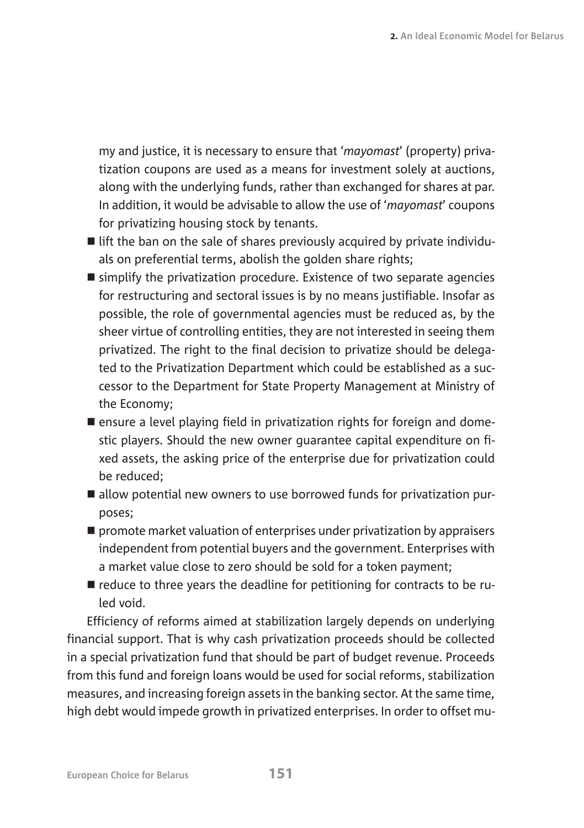my and justice, it is necessary to ensure that '*mayomast*' (property) privatization coupons are used as a means for investment solely at auctions, along with the underlying funds, rather than exchanged for shares at par. In addition, it would be advisable to allow the use of '*mayomast*' coupons for privatizing housing stock by tenants.

- $\blacksquare$  lift the ban on the sale of shares previously acquired by private individuals on preferential terms, abolish the golden share rights;
- $\blacksquare$  simplify the privatization procedure. Existence of two separate agencies for restructuring and sectoral issues is by no means justifiable. Insofar as possible, the role of governmental agencies must be reduced as, by the sheer virtue of controlling entities, they are not interested in seeing them privatized. The right to the final decision to privatize should be delegated to the Privatization Department which could be established as a successor to the Department for State Property Management at Ministry of the Economy;
- **n** ensure a level playing field in privatization rights for foreign and domestic players. Should the new owner guarantee capital expenditure on fixed assets, the asking price of the enterprise due for privatization could be reduced;
- $\blacksquare$  allow potential new owners to use borrowed funds for privatization purposes;
- $\blacksquare$  promote market valuation of enterprises under privatization by appraisers independent from potential buyers and the government. Enterprises with a market value close to zero should be sold for a token payment;
- $\blacksquare$  reduce to three years the deadline for petitioning for contracts to be ruled void.

Efficiency of reforms aimed at stabilization largely depends on underlying financial support. That is why cash privatization proceeds should be collected in a special privatization fund that should be part of budget revenue. Proceeds from this fund and foreign loans would be used for social reforms, stabilization measures, and increasing foreign assets in the banking sector. At the same time, high debt would impede growth in privatized enterprises. In order to offset mu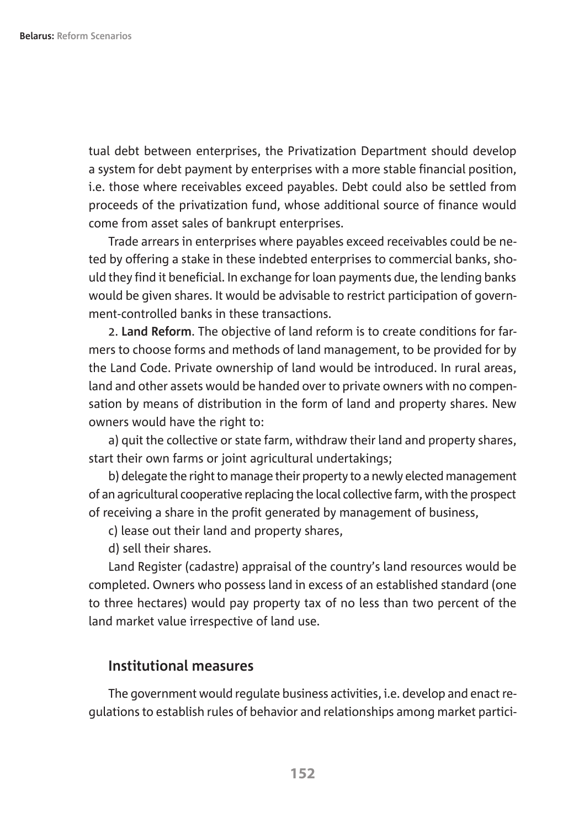tual debt between enterprises, the Privatization Department should develop a system for debt payment by enterprises with a more stable financial position, i.e. those where receivables exceed payables. Debt could also be settled from proceeds of the privatization fund, whose additional source of finance would come from asset sales of bankrupt enterprises.

Trade arrears in enterprises where payables exceed receivables could be neted by offering a stake in these indebted enterprises to commercial banks, should they find it beneficial. In exchange for loan payments due, the lending banks would be given shares. It would be advisable to restrict participation of government-controlled banks in these transactions.

2. **Land Reform**. The objective of land reform is to create conditions for farmers to choose forms and methods of land management, to be provided for by the Land Code. Private ownership of land would be introduced. In rural areas, land and other assets would be handed over to private owners with no compensation by means of distribution in the form of land and property shares. New owners would have the right to:

a) quit the collective or state farm, withdraw their land and property shares, start their own farms or joint agricultural undertakings;

b) delegate the right to manage their property to a newly elected management of an agricultural cooperative replacing the local collective farm, with the prospect of receiving a share in the profit generated by management of business,

c) lease out their land and property shares,

d) sell their shares.

Land Register (cadastre) appraisal of the country's land resources would be completed. Owners who possess land in excess of an established standard (one to three hectares) would pay property tax of no less than two percent of the land market value irrespective of land use.

### **Institutional measures**

The government would regulate business activities, i.e. develop and enact regulations to establish rules of behavior and relationships among market partici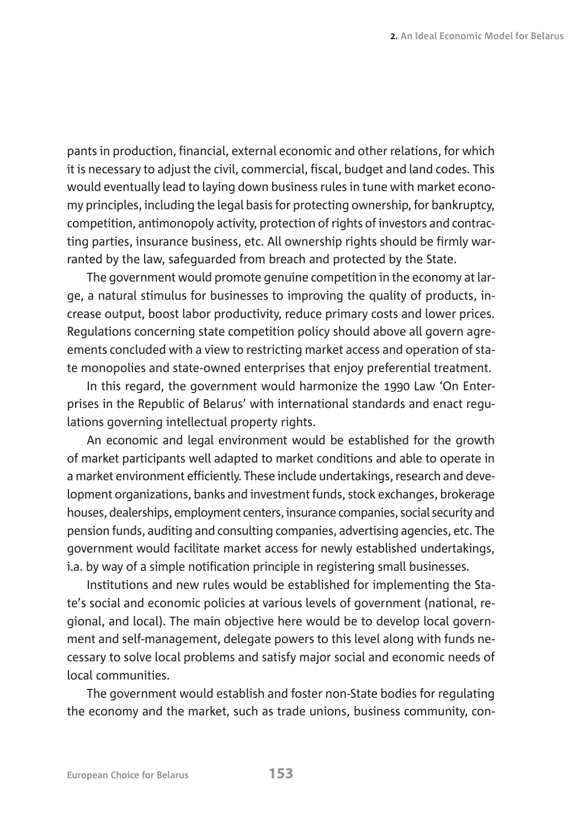pants in production, financial, external economic and other relations, for which it is necessary to adjust the civil, commercial, fiscal, budget and land codes. This would eventually lead to laying down business rules in tune with market economy principles, including the legal basis for protecting ownership, for bankruptcy, competition, antimonopoly activity, protection of rights of investors and contracting parties, insurance business, etc. All ownership rights should be firmly warranted by the law, safeguarded from breach and protected by the State.

The government would promote genuine competition in the economy at large, a natural stimulus for businesses to improving the quality of products, increase output, boost labor productivity, reduce primary costs and lower prices. Regulations concerning state competition policy should above all govern agreements concluded with a view to restricting market access and operation of state monopolies and state-owned enterprises that enjoy preferential treatment.

In this regard, the government would harmonize the 1990 Law 'On Enterprises in the Republic of Belarus' with international standards and enact regulations governing intellectual property rights.

An economic and legal environment would be established for the growth of market participants well adapted to market conditions and able to operate in a market environment efficiently. These include undertakings, research and development organizations, banks and investment funds, stock exchanges, brokerage houses, dealerships, employment centers, insurance companies, social security and pension funds, auditing and consulting companies, advertising agencies, etc. The government would facilitate market access for newly established undertakings, i.a. by way of a simple notification principle in registering small businesses.

Institutions and new rules would be established for implementing the State's social and economic policies at various levels of government (national, regional, and local). The main objective here would be to develop local government and self-management, delegate powers to this level along with funds necessary to solve local problems and satisfy major social and economic needs of local communities.

The government would establish and foster non-State bodies for regulating the economy and the market, such as trade unions, business community, con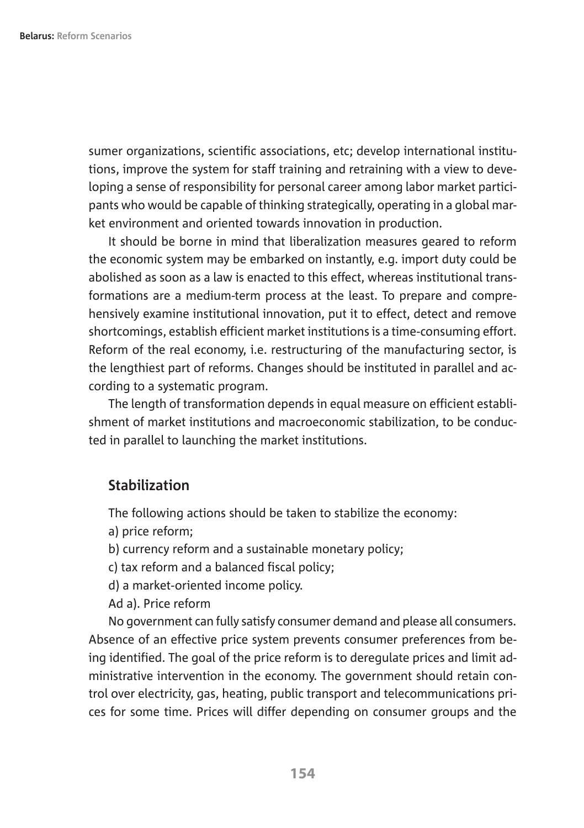sumer organizations, scientific associations, etc; develop international institutions, improve the system for staff training and retraining with a view to developing a sense of responsibility for personal career among labor market participants who would be capable of thinking strategically, operating in a global market environment and oriented towards innovation in production.

It should be borne in mind that liberalization measures geared to reform the economic system may be embarked on instantly, e.g. import duty could be abolished as soon as a law is enacted to this effect, whereas institutional transformations are a medium-term process at the least. To prepare and comprehensively examine institutional innovation, put it to effect, detect and remove shortcomings, establish efficient market institutions is a time-consuming effort. Reform of the real economy, i.e. restructuring of the manufacturing sector, is the lengthiest part of reforms. Changes should be instituted in parallel and according to a systematic program.

The length of transformation depends in equal measure on efficient establishment of market institutions and macroeconomic stabilization, to be conducted in parallel to launching the market institutions.

#### **Stabilization**

The following actions should be taken to stabilize the economy:

a) price reform;

b) currency reform and a sustainable monetary policy;

- c) tax reform and a balanced fiscal policy;
- d) a market-oriented income policy.

Ad a). Price reform

No government can fully satisfy consumer demand and please all consumers. Absence of an effective price system prevents consumer preferences from being identified. The goal of the price reform is to deregulate prices and limit administrative intervention in the economy. The government should retain control over electricity, gas, heating, public transport and telecommunications prices for some time. Prices will differ depending on consumer groups and the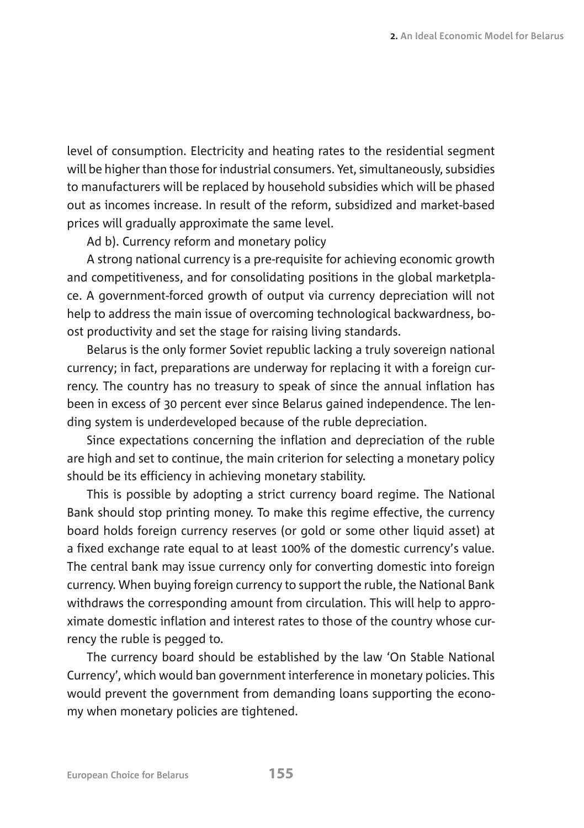level of consumption. Electricity and heating rates to the residential segment will be higher than those for industrial consumers. Yet, simultaneously, subsidies to manufacturers will be replaced by household subsidies which will be phased out as incomes increase. In result of the reform, subsidized and market-based prices will gradually approximate the same level.

Ad b). Currency reform and monetary policy

A strong national currency is a pre-requisite for achieving economic growth and competitiveness, and for consolidating positions in the global marketplace. A government-forced growth of output via currency depreciation will not help to address the main issue of overcoming technological backwardness, boost productivity and set the stage for raising living standards.

Belarus is the only former Soviet republic lacking a truly sovereign national currency; in fact, preparations are underway for replacing it with a foreign currency. The country has no treasury to speak of since the annual inflation has been in excess of 30 percent ever since Belarus gained independence. The lending system is underdeveloped because of the ruble depreciation.

Since expectations concerning the inflation and depreciation of the ruble are high and set to continue, the main criterion for selecting a monetary policy should be its efficiency in achieving monetary stability.

This is possible by adopting a strict currency board regime. The National Bank should stop printing money. To make this regime effective, the currency board holds foreign currency reserves (or gold or some other liquid asset) at a fixed exchange rate equal to at least 100% of the domestic currency's value. The central bank may issue currency only for converting domestic into foreign currency. When buying foreign currency to support the ruble, the National Bank withdraws the corresponding amount from circulation. This will help to approximate domestic inflation and interest rates to those of the country whose currency the ruble is pegged to.

The currency board should be established by the law 'On Stable National Currency', which would ban government interference in monetary policies. This would prevent the government from demanding loans supporting the economy when monetary policies are tightened.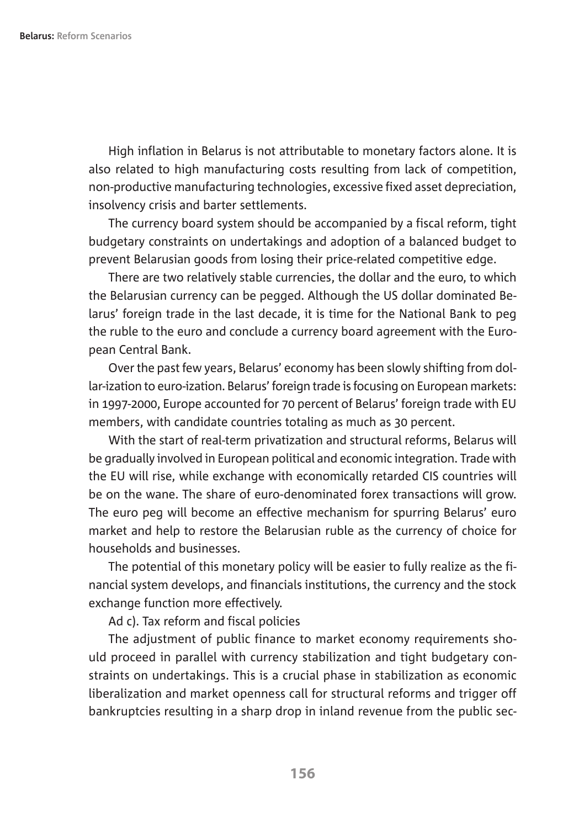High inflation in Belarus is not attributable to monetary factors alone. It is also related to high manufacturing costs resulting from lack of competition, non-productive manufacturing technologies, excessive fixed asset depreciation, insolvency crisis and barter settlements.

The currency board system should be accompanied by a fiscal reform, tight budgetary constraints on undertakings and adoption of a balanced budget to prevent Belarusian goods from losing their price-related competitive edge.

There are two relatively stable currencies, the dollar and the euro, to which the Belarusian currency can be pegged. Although the US dollar dominated Belarus' foreign trade in the last decade, it is time for the National Bank to peg the ruble to the euro and conclude a currency board agreement with the European Central Bank.

Over the past few years, Belarus' economy has been slowly shifting from dollar-ization to euro-ization. Belarus' foreign trade is focusing on European markets: in 1997-2000, Europe accounted for 70 percent of Belarus' foreign trade with EU members, with candidate countries totaling as much as 30 percent.

With the start of real-term privatization and structural reforms, Belarus will be gradually involved in European political and economic integration. Trade with the EU will rise, while exchange with economically retarded CIS countries will be on the wane. The share of euro-denominated forex transactions will grow. The euro peg will become an effective mechanism for spurring Belarus' euro market and help to restore the Belarusian ruble as the currency of choice for households and businesses.

The potential of this monetary policy will be easier to fully realize as the financial system develops, and financials institutions, the currency and the stock exchange function more effectively.

Ad c). Tax reform and fiscal policies

The adjustment of public finance to market economy requirements should proceed in parallel with currency stabilization and tight budgetary constraints on undertakings. This is a crucial phase in stabilization as economic liberalization and market openness call for structural reforms and trigger off bankruptcies resulting in a sharp drop in inland revenue from the public sec-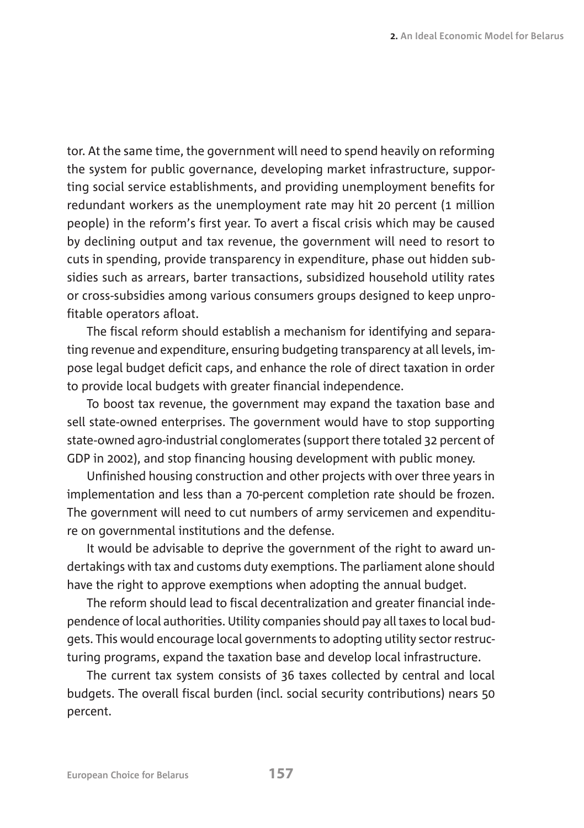tor. At the same time, the government will need to spend heavily on reforming the system for public governance, developing market infrastructure, supporting social service establishments, and providing unemployment benefits for redundant workers as the unemployment rate may hit 20 percent (1 million people) in the reform's first year. To avert a fiscal crisis which may be caused by declining output and tax revenue, the government will need to resort to cuts in spending, provide transparency in expenditure, phase out hidden subsidies such as arrears, barter transactions, subsidized household utility rates or cross-subsidies among various consumers groups designed to keep unprofitable operators afloat.

The fiscal reform should establish a mechanism for identifying and separating revenue and expenditure, ensuring budgeting transparency at all levels, impose legal budget deficit caps, and enhance the role of direct taxation in order to provide local budgets with greater financial independence.

To boost tax revenue, the government may expand the taxation base and sell state-owned enterprises. The government would have to stop supporting state-owned agro-industrial conglomerates (support there totaled 32 percent of GDP in 2002), and stop financing housing development with public money.

Unfinished housing construction and other projects with over three years in implementation and less than a 70-percent completion rate should be frozen. The government will need to cut numbers of army servicemen and expenditure on governmental institutions and the defense.

It would be advisable to deprive the government of the right to award undertakings with tax and customs duty exemptions. The parliament alone should have the right to approve exemptions when adopting the annual budget.

The reform should lead to fiscal decentralization and greater financial independence of local authorities. Utility companies should pay all taxes to local budgets. This would encourage local governments to adopting utility sector restructuring programs, expand the taxation base and develop local infrastructure.

The current tax system consists of 36 taxes collected by central and local budgets. The overall fiscal burden (incl. social security contributions) nears 50 percent.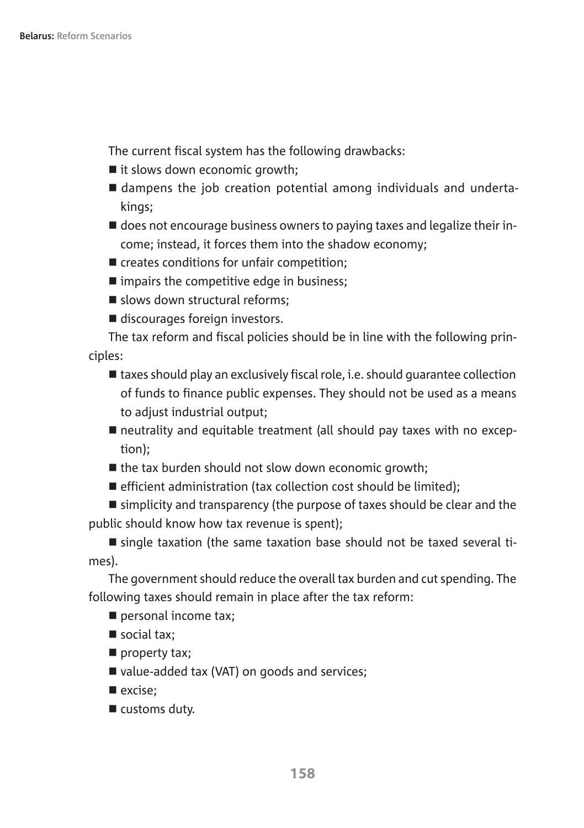The current fiscal system has the following drawbacks:

- $\blacksquare$  it slows down economic growth;
- dampens the job creation potential among individuals and undertakings;
- $\blacksquare$  does not encourage business owners to paying taxes and legalize their income; instead, it forces them into the shadow economy;
- $\blacksquare$  creates conditions for unfair competition;
- $\blacksquare$  impairs the competitive edge in business;
- $\blacksquare$  slows down structural reforms:
- $\blacksquare$  discourages foreign investors.

The tax reform and fiscal policies should be in line with the following principles:

- $\blacksquare$  taxes should play an exclusively fiscal role, i.e. should guarantee collection of funds to finance public expenses. They should not be used as a means to adjust industrial output;
- $\blacksquare$  neutrality and equitable treatment (all should pay taxes with no exception);
- $\blacksquare$  the tax burden should not slow down economic growth;
- $\blacksquare$  efficient administration (tax collection cost should be limited):

 $\blacksquare$  simplicity and transparency (the purpose of taxes should be clear and the public should know how tax revenue is spent);

 $\blacksquare$  single taxation (the same taxation base should not be taxed several times).

The government should reduce the overall tax burden and cut spending. The following taxes should remain in place after the tax reform:

- $\blacksquare$  personal income tax;
- $\blacksquare$  social tax;
- $\blacksquare$  property tax;
- value-added tax (VAT) on goods and services;
- $\blacksquare$  excise:
- $\blacksquare$  customs duty.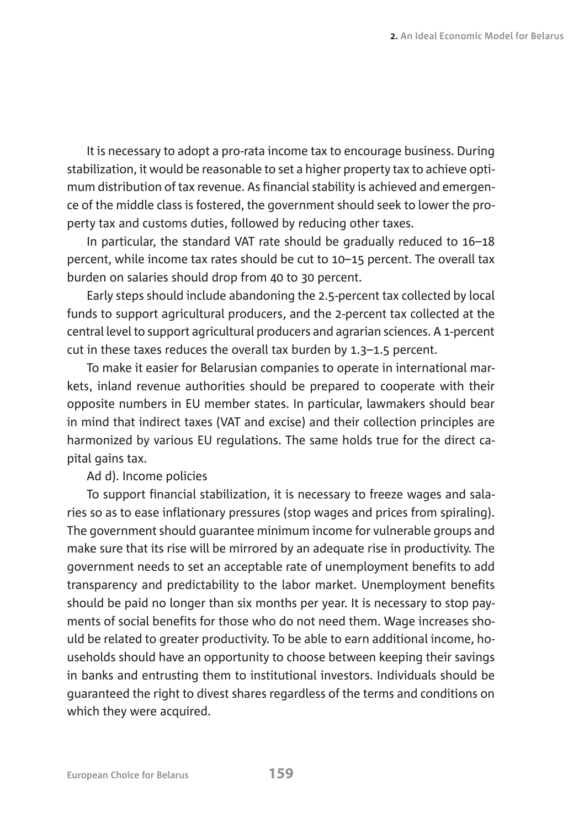It is necessary to adopt a pro-rata income tax to encourage business. During stabilization, it would be reasonable to set a higher property tax to achieve optimum distribution of tax revenue. As financial stability is achieved and emergence of the middle class is fostered, the government should seek to lower the property tax and customs duties, followed by reducing other taxes.

In particular, the standard VAT rate should be gradually reduced to 16–18 percent, while income tax rates should be cut to 10–15 percent. The overall tax burden on salaries should drop from 40 to 30 percent.

Early steps should include abandoning the 2.5-percent tax collected by local funds to support agricultural producers, and the 2-percent tax collected at the central level to support agricultural producers and agrarian sciences. A 1-percent cut in these taxes reduces the overall tax burden by 1.3–1.5 percent.

To make it easier for Belarusian companies to operate in international markets, inland revenue authorities should be prepared to cooperate with their opposite numbers in EU member states. In particular, lawmakers should bear in mind that indirect taxes (VAT and excise) and their collection principles are harmonized by various EU regulations. The same holds true for the direct capital gains tax.

Ad d). Income policies

To support financial stabilization, it is necessary to freeze wages and salaries so as to ease inflationary pressures (stop wages and prices from spiraling). The government should guarantee minimum income for vulnerable groups and make sure that its rise will be mirrored by an adequate rise in productivity. The government needs to set an acceptable rate of unemployment benefits to add transparency and predictability to the labor market. Unemployment benefits should be paid no longer than six months per year. It is necessary to stop payments of social benefits for those who do not need them. Wage increases should be related to greater productivity. To be able to earn additional income, households should have an opportunity to choose between keeping their savings in banks and entrusting them to institutional investors. Individuals should be guaranteed the right to divest shares regardless of the terms and conditions on which they were acquired.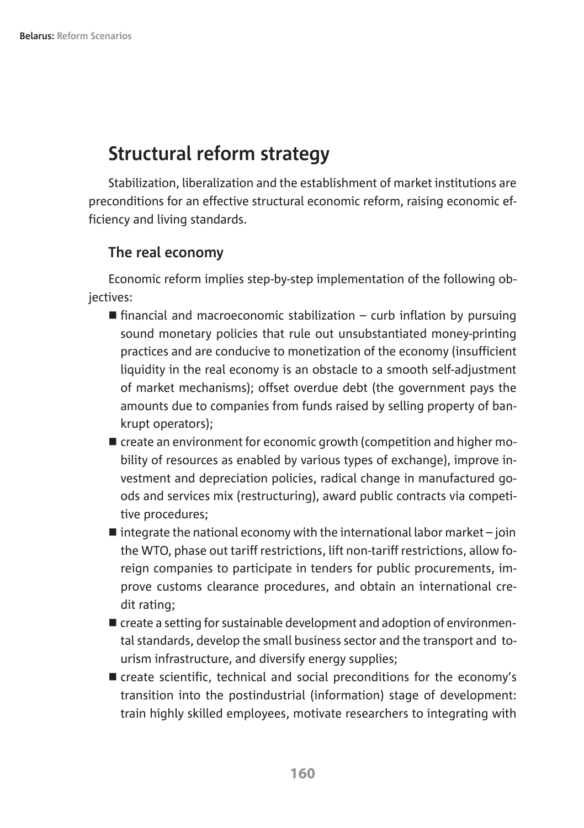## **Structural reform strategy**

Stabilization, liberalization and the establishment of market institutions are preconditions for an effective structural economic reform, raising economic efficiency and living standards.

#### **The real economy**

Economic reform implies step-by-step implementation of the following obiectives:

- $\blacksquare$  financial and macroeconomic stabilization curb inflation by pursuing sound monetary policies that rule out unsubstantiated money-printing practices and are conducive to monetization of the economy (insufficient liquidity in the real economy is an obstacle to a smooth self-adjustment of market mechanisms); offset overdue debt (the government pays the amounts due to companies from funds raised by selling property of bankrupt operators);
- $\blacksquare$  create an environment for economic growth (competition and higher mobility of resources as enabled by various types of exchange), improve investment and depreciation policies, radical change in manufactured goods and services mix (restructuring), award public contracts via competitive procedures;
- $\blacksquare$  integrate the national economy with the international labor market join the WTO, phase out tariff restrictions, lift non-tariff restrictions, allow foreign companies to participate in tenders for public procurements, improve customs clearance procedures, and obtain an international credit rating;
- $\blacksquare$  create a setting for sustainable development and adoption of environmental standards, develop the small business sector and the transport and tourism infrastructure, and diversify energy supplies;
- $\blacksquare$  create scientific, technical and social preconditions for the economy's transition into the postindustrial (information) stage of development: train highly skilled employees, motivate researchers to integrating with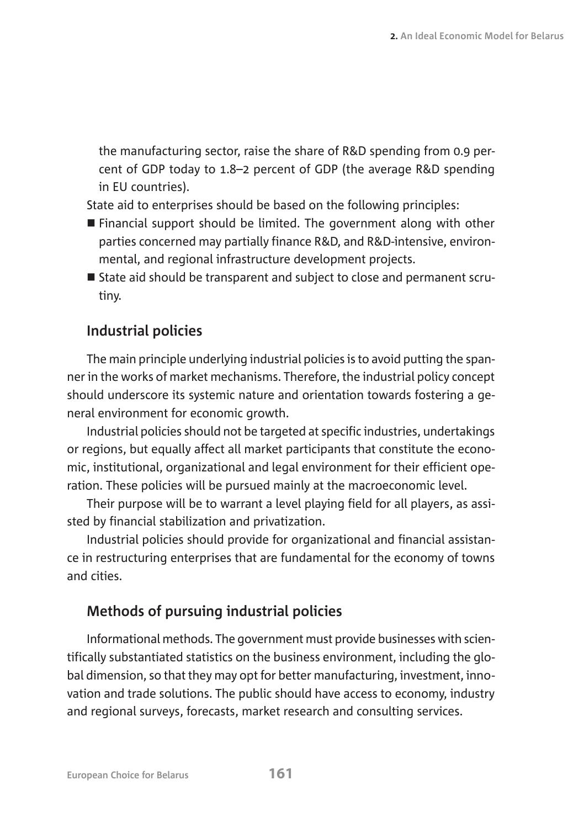the manufacturing sector, raise the share of R&D spending from 0.9 percent of GDP today to 1.8–2 percent of GDP (the average R&D spending in EU countries).

State aid to enterprises should be based on the following principles:

- $\blacksquare$  Financial support should be limited. The government along with other parties concerned may partially finance R&D, and R&D-intensive, environmental, and regional infrastructure development projects.
- State aid should be transparent and subject to close and permanent scrutiny.

## **Industrial policies**

The main principle underlying industrial policies is to avoid putting the spanner in the works of market mechanisms. Therefore, the industrial policy concept should underscore its systemic nature and orientation towards fostering a general environment for economic growth.

Industrial policies should not be targeted at specific industries, undertakings or regions, but equally affect all market participants that constitute the economic, institutional, organizational and legal environment for their efficient operation. These policies will be pursued mainly at the macroeconomic level.

Their purpose will be to warrant a level playing field for all players, as assisted by financial stabilization and privatization.

Industrial policies should provide for organizational and financial assistance in restructuring enterprises that are fundamental for the economy of towns and cities.

## **Methods of pursuing industrial policies**

Informational methods. The government must provide businesses with scientifically substantiated statistics on the business environment, including the global dimension, so that they may opt for better manufacturing, investment, innovation and trade solutions. The public should have access to economy, industry and regional surveys, forecasts, market research and consulting services.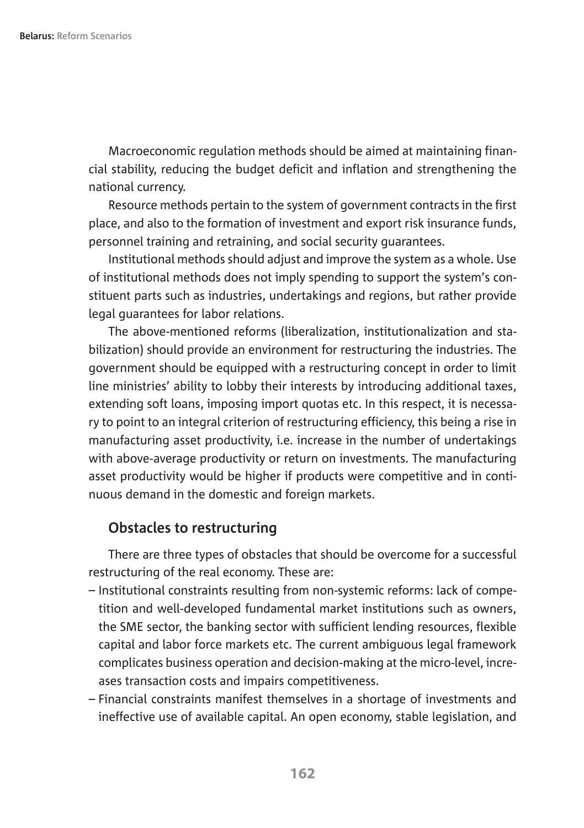Macroeconomic regulation methods should be aimed at maintaining financial stability, reducing the budget deficit and inflation and strengthening the national currency.

Resource methods pertain to the system of government contracts in the first place, and also to the formation of investment and export risk insurance funds, personnel training and retraining, and social security guarantees.

Institutional methods should adjust and improve the system as a whole. Use of institutional methods does not imply spending to support the system's constituent parts such as industries, undertakings and regions, but rather provide legal guarantees for labor relations.

The above-mentioned reforms (liberalization, institutionalization and stabilization) should provide an environment for restructuring the industries. The government should be equipped with a restructuring concept in order to limit line ministries' ability to lobby their interests by introducing additional taxes, extending soft loans, imposing import quotas etc. In this respect, it is necessary to point to an integral criterion of restructuring efficiency, this being a rise in manufacturing asset productivity, i.e. increase in the number of undertakings with above-average productivity or return on investments. The manufacturing asset productivity would be higher if products were competitive and in continuous demand in the domestic and foreign markets.

#### **Obstacles to restructuring**

There are three types of obstacles that should be overcome for a successful restructuring of the real economy. These are:

- Institutional constraints resulting from non-systemic reforms: lack of competition and well-developed fundamental market institutions such as owners, the SME sector, the banking sector with sufficient lending resources, flexible capital and labor force markets etc. The current ambiguous legal framework complicates business operation and decision-making at the micro-level, increases transaction costs and impairs competitiveness.
- Financial constraints manifest themselves in a shortage of investments and ineffective use of available capital. An open economy, stable legislation, and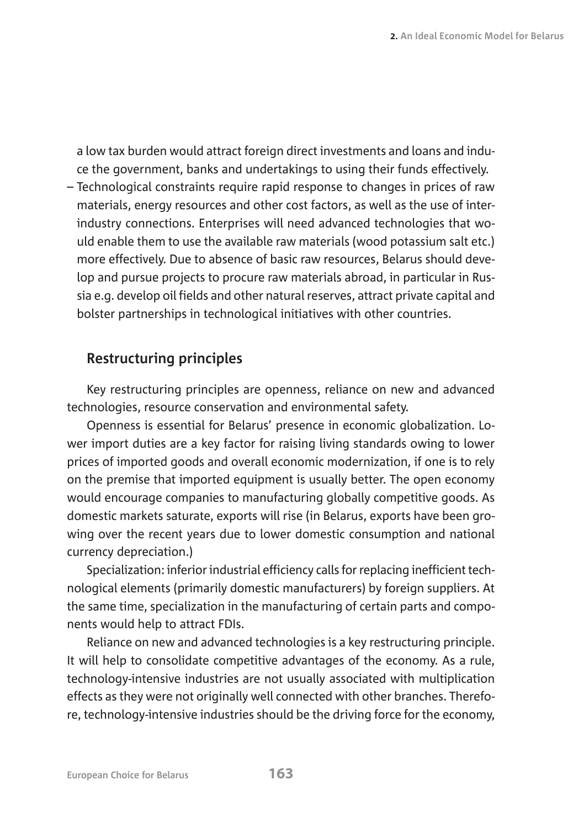a low tax burden would attract foreign direct investments and loans and induce the government, banks and undertakings to using their funds effectively.

– Technological constraints require rapid response to changes in prices of raw materials, energy resources and other cost factors, as well as the use of interindustry connections. Enterprises will need advanced technologies that would enable them to use the available raw materials (wood potassium salt etc.) more effectively. Due to absence of basic raw resources, Belarus should develop and pursue projects to procure raw materials abroad, in particular in Russia e.g. develop oil fields and other natural reserves, attract private capital and bolster partnerships in technological initiatives with other countries.

#### **Restructuring principles**

Key restructuring principles are openness, reliance on new and advanced technologies, resource conservation and environmental safety.

Openness is essential for Belarus' presence in economic globalization. Lower import duties are a key factor for raising living standards owing to lower prices of imported goods and overall economic modernization, if one is to rely on the premise that imported equipment is usually better. The open economy would encourage companies to manufacturing globally competitive goods. As domestic markets saturate, exports will rise (in Belarus, exports have been growing over the recent years due to lower domestic consumption and national currency depreciation.)

Specialization: inferior industrial efficiency calls for replacing inefficient technological elements (primarily domestic manufacturers) by foreign suppliers. At the same time, specialization in the manufacturing of certain parts and components would help to attract FDIs.

Reliance on new and advanced technologies is a key restructuring principle. It will help to consolidate competitive advantages of the economy. As a rule, technology-intensive industries are not usually associated with multiplication effects as they were not originally well connected with other branches. Therefore, technology-intensive industries should be the driving force for the economy,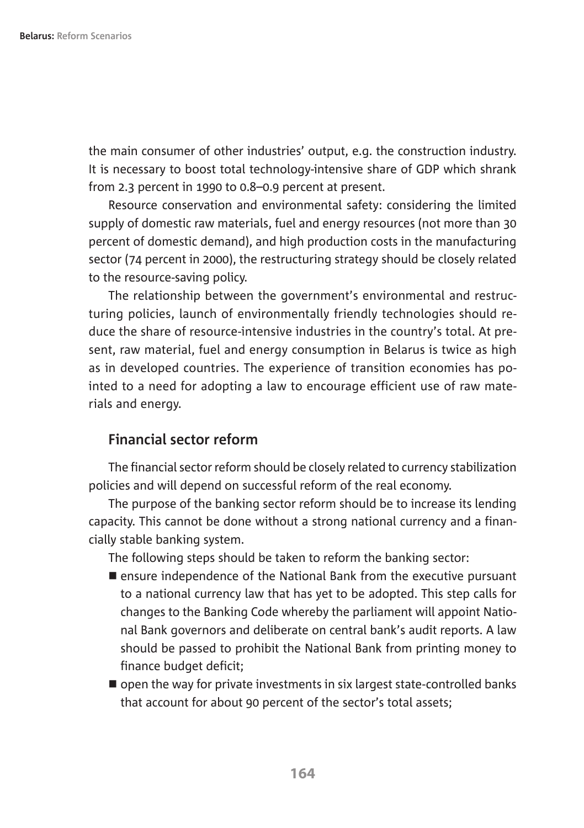the main consumer of other industries' output, e.g. the construction industry. It is necessary to boost total technology-intensive share of GDP which shrank from 2.3 percent in 1990 to 0.8–0.9 percent at present.

Resource conservation and environmental safety: considering the limited supply of domestic raw materials, fuel and energy resources (not more than 30 percent of domestic demand), and high production costs in the manufacturing sector (74 percent in 2000), the restructuring strategy should be closely related to the resource-saving policy.

The relationship between the government's environmental and restructuring policies, launch of environmentally friendly technologies should reduce the share of resource-intensive industries in the country's total. At present, raw material, fuel and energy consumption in Belarus is twice as high as in developed countries. The experience of transition economies has pointed to a need for adopting a law to encourage efficient use of raw materials and energy.

## **Financial sector reform**

The financial sector reform should be closely related to currency stabilization policies and will depend on successful reform of the real economy.

The purpose of the banking sector reform should be to increase its lending capacity. This cannot be done without a strong national currency and a financially stable banking system.

The following steps should be taken to reform the banking sector:

- $\blacksquare$  ensure independence of the National Bank from the executive pursuant to a national currency law that has yet to be adopted. This step calls for changes to the Banking Code whereby the parliament will appoint National Bank governors and deliberate on central bank's audit reports. A law should be passed to prohibit the National Bank from printing money to finance budget deficit;
- $\blacksquare$  open the way for private investments in six largest state-controlled banks that account for about 90 percent of the sector's total assets;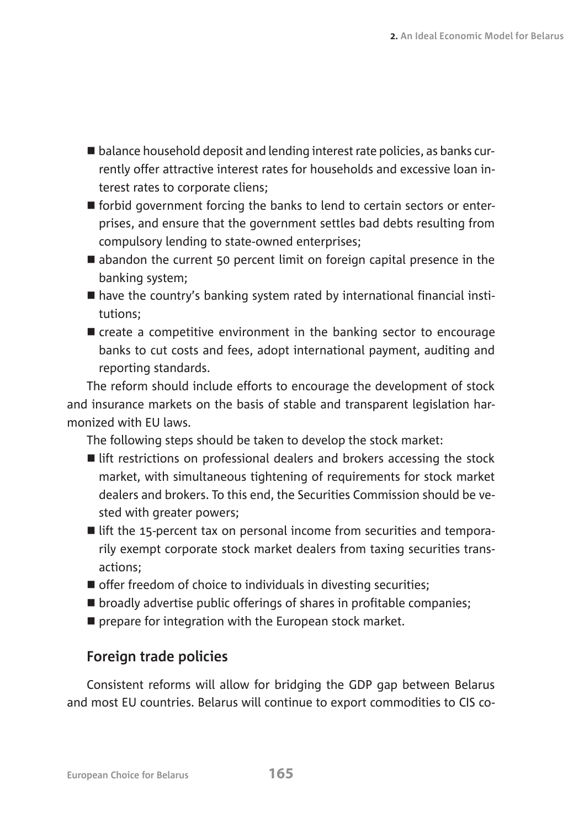- $\blacksquare$  balance household deposit and lending interest rate policies, as banks currently offer attractive interest rates for households and excessive loan interest rates to corporate cliens;
- $\blacksquare$  forbid government forcing the banks to lend to certain sectors or enterprises, and ensure that the government settles bad debts resulting from compulsory lending to state-owned enterprises;
- $\blacksquare$  abandon the current 50 percent limit on foreign capital presence in the banking system;
- $\blacksquare$  have the country's banking system rated by international financial institutions;
- $\blacksquare$  create a competitive environment in the banking sector to encourage banks to cut costs and fees, adopt international payment, auditing and reporting standards.

The reform should include efforts to encourage the development of stock and insurance markets on the basis of stable and transparent legislation harmonized with EU laws.

The following steps should be taken to develop the stock market:

- $\blacksquare$  lift restrictions on professional dealers and brokers accessing the stock market, with simultaneous tightening of requirements for stock market dealers and brokers. To this end, the Securities Commission should be vested with greater powers:
- $\blacksquare$  lift the 15-percent tax on personal income from securities and temporarily exempt corporate stock market dealers from taxing securities transactions;
- $\blacksquare$  offer freedom of choice to individuals in divesting securities;
- $\blacksquare$  broadly advertise public offerings of shares in profitable companies;
- $\blacksquare$  prepare for integration with the European stock market.

## **Foreign trade policies**

Consistent reforms will allow for bridging the GDP gap between Belarus and most EU countries. Belarus will continue to export commodities to CIS co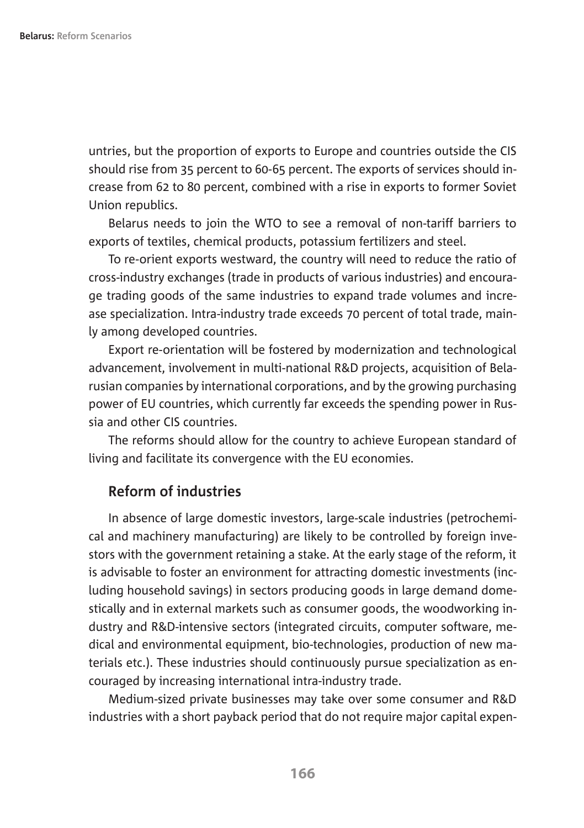untries, but the proportion of exports to Europe and countries outside the CIS should rise from 35 percent to 60-65 percent. The exports of services should increase from 62 to 80 percent, combined with a rise in exports to former Soviet Union republics.

Belarus needs to join the WTO to see a removal of non-tariff barriers to exports of textiles, chemical products, potassium fertilizers and steel.

To re-orient exports westward, the country will need to reduce the ratio of cross-industry exchanges (trade in products of various industries) and encourage trading goods of the same industries to expand trade volumes and increase specialization. Intra-industry trade exceeds 70 percent of total trade, mainly among developed countries.

Export re-orientation will be fostered by modernization and technological advancement, involvement in multi-national R&D projects, acquisition of Belarusian companies by international corporations, and by the growing purchasing power of EU countries, which currently far exceeds the spending power in Russia and other CIS countries.

The reforms should allow for the country to achieve European standard of living and facilitate its convergence with the EU economies.

## **Reform of industries**

In absence of large domestic investors, large-scale industries (petrochemical and machinery manufacturing) are likely to be controlled by foreign investors with the government retaining a stake. At the early stage of the reform, it is advisable to foster an environment for attracting domestic investments (including household savings) in sectors producing goods in large demand domestically and in external markets such as consumer goods, the woodworking industry and R&D-intensive sectors (integrated circuits, computer software, medical and environmental equipment, bio-technologies, production of new materials etc.). These industries should continuously pursue specialization as encouraged by increasing international intra-industry trade.

Medium-sized private businesses may take over some consumer and R&D industries with a short payback period that do not require major capital expen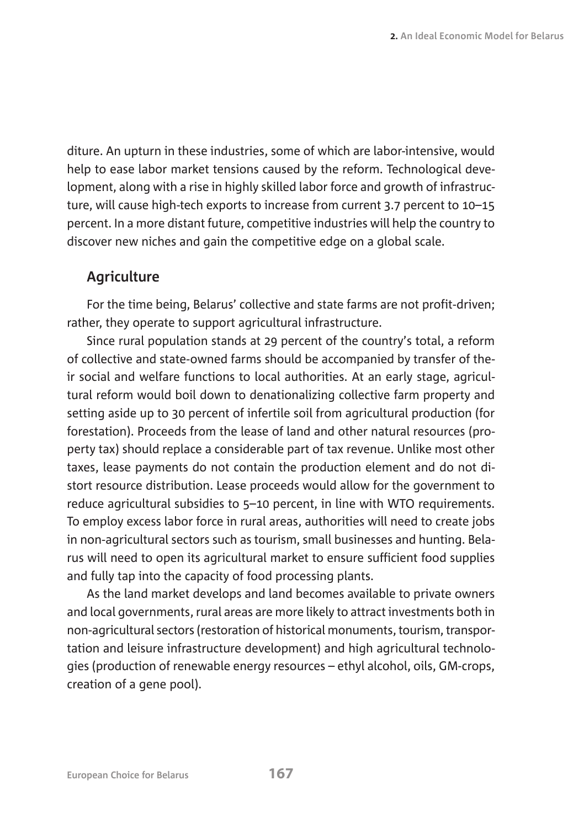diture. An upturn in these industries, some of which are labor-intensive, would help to ease labor market tensions caused by the reform. Technological development, along with a rise in highly skilled labor force and growth of infrastructure, will cause high-tech exports to increase from current 3.7 percent to 10–15 percent. In a more distant future, competitive industries will help the country to discover new niches and gain the competitive edge on a global scale.

## **Agriculture**

For the time being, Belarus' collective and state farms are not profit-driven; rather, they operate to support agricultural infrastructure.

Since rural population stands at 29 percent of the country's total, a reform of collective and state-owned farms should be accompanied by transfer of their social and welfare functions to local authorities. At an early stage, agricultural reform would boil down to denationalizing collective farm property and setting aside up to 30 percent of infertile soil from agricultural production (for forestation). Proceeds from the lease of land and other natural resources (property tax) should replace a considerable part of tax revenue. Unlike most other taxes, lease payments do not contain the production element and do not distort resource distribution. Lease proceeds would allow for the government to reduce agricultural subsidies to 5–10 percent, in line with WTO requirements. To employ excess labor force in rural areas, authorities will need to create jobs in non-agricultural sectors such as tourism, small businesses and hunting. Belarus will need to open its agricultural market to ensure sufficient food supplies and fully tap into the capacity of food processing plants.

As the land market develops and land becomes available to private owners and local governments, rural areas are more likely to attract investments both in non-agricultural sectors (restoration of historical monuments, tourism, transportation and leisure infrastructure development) and high agricultural technologies (production of renewable energy resources – ethyl alcohol, oils, GM-crops, creation of a gene pool).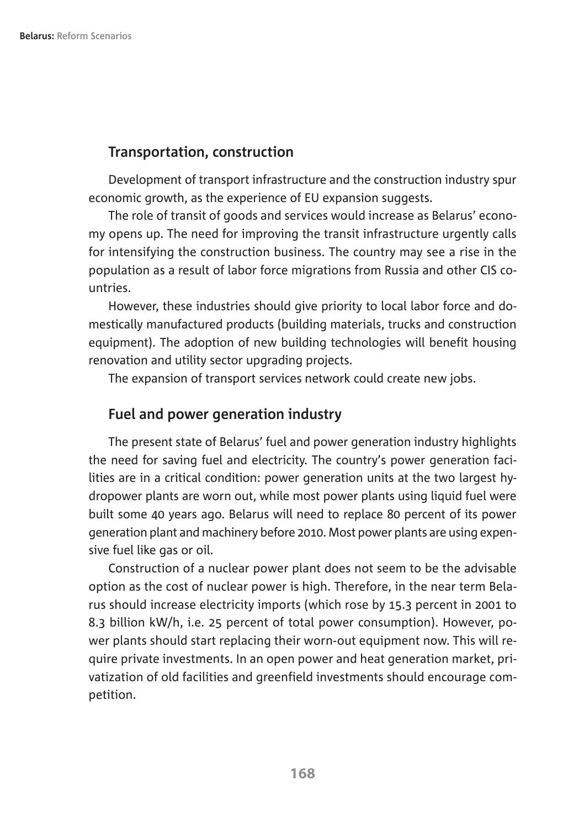#### **Transportation, construction**

Development of transport infrastructure and the construction industry spur economic growth, as the experience of EU expansion suggests.

The role of transit of goods and services would increase as Belarus' economy opens up. The need for improving the transit infrastructure urgently calls for intensifying the construction business. The country may see a rise in the population as a result of labor force migrations from Russia and other CIS countries.

However, these industries should give priority to local labor force and domestically manufactured products (building materials, trucks and construction equipment). The adoption of new building technologies will benefit housing renovation and utility sector upgrading projects.

The expansion of transport services network could create new jobs.

#### **Fuel and power generation industry**

The present state of Belarus' fuel and power generation industry highlights the need for saving fuel and electricity. The country's power generation facilities are in a critical condition: power generation units at the two largest hydropower plants are worn out, while most power plants using liquid fuel were built some 40 years ago. Belarus will need to replace 80 percent of its power generation plant and machinery before 2010. Most power plants are using expensive fuel like gas or oil.

Construction of a nuclear power plant does not seem to be the advisable option as the cost of nuclear power is high. Therefore, in the near term Belarus should increase electricity imports (which rose by 15.3 percent in 2001 to 8.3 billion kW/h, i.e. 25 percent of total power consumption). However, power plants should start replacing their worn-out equipment now. This will require private investments. In an open power and heat generation market, privatization of old facilities and greenfield investments should encourage competition.